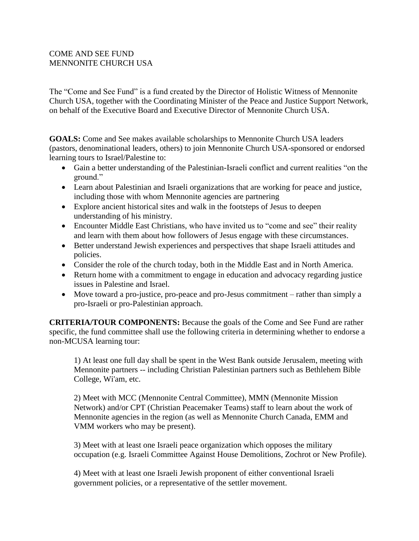## COME AND SEE FUND MENNONITE CHURCH USA

The "Come and See Fund" is a fund created by the Director of Holistic Witness of Mennonite Church USA, together with the Coordinating Minister of the Peace and Justice Support Network, on behalf of the Executive Board and Executive Director of Mennonite Church USA.

**GOALS:** Come and See makes available scholarships to Mennonite Church USA leaders (pastors, denominational leaders, others) to join Mennonite Church USA-sponsored or endorsed learning tours to Israel/Palestine to:

- Gain a better understanding of the Palestinian-Israeli conflict and current realities "on the ground."
- Learn about Palestinian and Israeli organizations that are working for peace and justice, including those with whom Mennonite agencies are partnering
- Explore ancient historical sites and walk in the footsteps of Jesus to deepen understanding of his ministry.
- Encounter Middle East Christians, who have invited us to "come and see" their reality and learn with them about how followers of Jesus engage with these circumstances.
- Better understand Jewish experiences and perspectives that shape Israeli attitudes and policies.
- Consider the role of the church today, both in the Middle East and in North America.
- Return home with a commitment to engage in education and advocacy regarding justice issues in Palestine and Israel.
- Move toward a pro-justice, pro-peace and pro-Jesus commitment rather than simply a pro-Israeli or pro-Palestinian approach.

**CRITERIA/TOUR COMPONENTS:** Because the goals of the Come and See Fund are rather specific, the fund committee shall use the following criteria in determining whether to endorse a non-MCUSA learning tour:

1) At least one full day shall be spent in the West Bank outside Jerusalem, meeting with Mennonite partners -- including Christian Palestinian partners such as Bethlehem Bible College, Wi'am, etc.

2) Meet with MCC (Mennonite Central Committee), MMN (Mennonite Mission Network) and/or CPT (Christian Peacemaker Teams) staff to learn about the work of Mennonite agencies in the region (as well as Mennonite Church Canada, EMM and VMM workers who may be present).

3) Meet with at least one Israeli peace organization which opposes the military occupation (e.g. Israeli Committee Against House Demolitions, Zochrot or New Profile).

4) Meet with at least one Israeli Jewish proponent of either conventional Israeli government policies, or a representative of the settler movement.